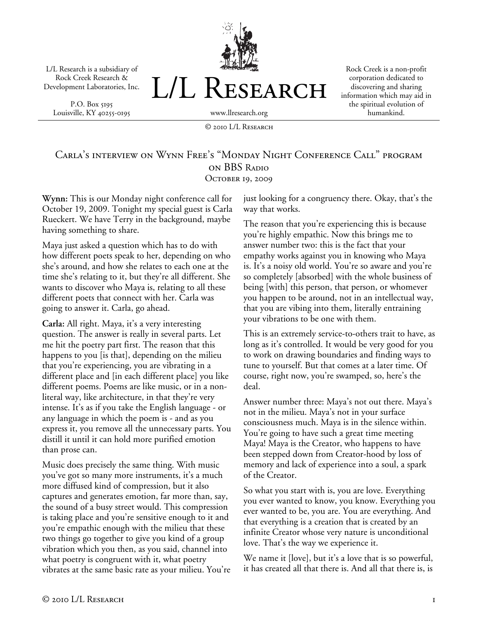L/L Research is a subsidiary of Rock Creek Research & Development Laboratories, Inc.

P.O. Box 5195 Louisville, KY 40255-0195



Rock Creek is a non-profit corporation dedicated to discovering and sharing information which may aid in the spiritual evolution of humankind.

© 2010 L/L Research

## Carla's interview on Wynn Free's "Monday Night Conference Call" program on BBS Radio OCTOBER 19, 2009

**Wynn:** This is our Monday night conference call for October 19, 2009. Tonight my special guest is Carla Rueckert. We have Terry in the background, maybe having something to share.

Maya just asked a question which has to do with how different poets speak to her, depending on who she's around, and how she relates to each one at the time she's relating to it, but they're all different. She wants to discover who Maya is, relating to all these different poets that connect with her. Carla was going to answer it. Carla, go ahead.

**Carla:** All right. Maya, it's a very interesting question. The answer is really in several parts. Let me hit the poetry part first. The reason that this happens to you [is that], depending on the milieu that you're experiencing, you are vibrating in a different place and [in each different place] you like different poems. Poems are like music, or in a nonliteral way, like architecture, in that they're very intense. It's as if you take the English language - or any language in which the poem is - and as you express it, you remove all the unnecessary parts. You distill it until it can hold more purified emotion than prose can.

Music does precisely the same thing. With music you've got so many more instruments, it's a much more diffused kind of compression, but it also captures and generates emotion, far more than, say, the sound of a busy street would. This compression is taking place and you're sensitive enough to it and you're empathic enough with the milieu that these two things go together to give you kind of a group vibration which you then, as you said, channel into what poetry is congruent with it, what poetry vibrates at the same basic rate as your milieu. You're just looking for a congruency there. Okay, that's the way that works.

The reason that you're experiencing this is because you're highly empathic. Now this brings me to answer number two: this is the fact that your empathy works against you in knowing who Maya is. It's a noisy old world. You're so aware and you're so completely [absorbed] with the whole business of being [with] this person, that person, or whomever you happen to be around, not in an intellectual way, that you are vibing into them, literally entraining your vibrations to be one with them.

This is an extremely service-to-others trait to have, as long as it's controlled. It would be very good for you to work on drawing boundaries and finding ways to tune to yourself. But that comes at a later time. Of course, right now, you're swamped, so, here's the deal.

Answer number three: Maya's not out there. Maya's not in the milieu. Maya's not in your surface consciousness much. Maya is in the silence within. You're going to have such a great time meeting Maya! Maya is the Creator, who happens to have been stepped down from Creator-hood by loss of memory and lack of experience into a soul, a spark of the Creator.

So what you start with is, you are love. Everything you ever wanted to know, you know. Everything you ever wanted to be, you are. You are everything. And that everything is a creation that is created by an infinite Creator whose very nature is unconditional love. That's the way we experience it.

We name it [love], but it's a love that is so powerful, it has created all that there is. And all that there is, is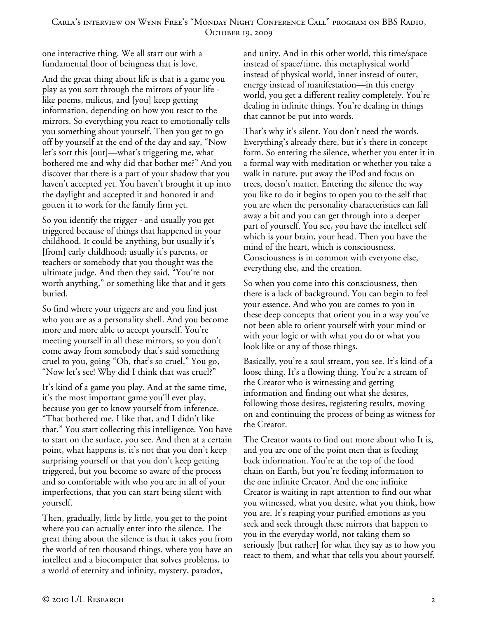one interactive thing. We all start out with a fundamental floor of beingness that is love.

And the great thing about life is that is a game you play as you sort through the mirrors of your life like poems, milieus, and [you] keep getting information, depending on how you react to the mirrors. So everything you react to emotionally tells you something about yourself. Then you get to go off by yourself at the end of the day and say, "Now let's sort this [out]—what's triggering me, what bothered me and why did that bother me?" And you discover that there is a part of your shadow that you haven't accepted yet. You haven't brought it up into the daylight and accepted it and honored it and gotten it to work for the family firm yet.

So you identify the trigger - and usually you get triggered because of things that happened in your childhood. It could be anything, but usually it's [from] early childhood; usually it's parents, or teachers or somebody that you thought was the ultimate judge. And then they said, "You're not worth anything," or something like that and it gets buried.

So find where your triggers are and you find just who you are as a personality shell. And you become more and more able to accept yourself. You're meeting yourself in all these mirrors, so you don't come away from somebody that's said something cruel to you, going "Oh, that's so cruel." You go, "Now let's see! Why did I think that was cruel?"

It's kind of a game you play. And at the same time, it's the most important game you'll ever play, because you get to know yourself from inference. "That bothered me, I like that, and I didn't like that." You start collecting this intelligence. You have to start on the surface, you see. And then at a certain point, what happens is, it's not that you don't keep surprising yourself or that you don't keep getting triggered, but you become so aware of the process and so comfortable with who you are in all of your imperfections, that you can start being silent with yourself.

Then, gradually, little by little, you get to the point where you can actually enter into the silence. The great thing about the silence is that it takes you from the world of ten thousand things, where you have an intellect and a biocomputer that solves problems, to a world of eternity and infinity, mystery, paradox,

and unity. And in this other world, this time/space instead of space/time, this metaphysical world instead of physical world, inner instead of outer, energy instead of manifestation—in this energy world, you get a different reality completely. You're dealing in infinite things. You're dealing in things that cannot be put into words.

That's why it's silent. You don't need the words. Everything's already there, but it's there in concept form. So entering the silence, whether you enter it in a formal way with meditation or whether you take a walk in nature, put away the iPod and focus on trees, doesn't matter. Entering the silence the way you like to do it begins to open you to the self that you are when the personality characteristics can fall away a bit and you can get through into a deeper part of yourself. You see, you have the intellect self which is your brain, your head. Then you have the mind of the heart, which is consciousness. Consciousness is in common with everyone else, everything else, and the creation.

So when you come into this consciousness, then there is a lack of background. You can begin to feel your essence. And who you are comes to you in these deep concepts that orient you in a way you've not been able to orient yourself with your mind or with your logic or with what you do or what you look like or any of those things.

Basically, you're a soul stream, you see. It's kind of a loose thing. It's a flowing thing. You're a stream of the Creator who is witnessing and getting information and finding out what she desires, following those desires, registering results, moving on and continuing the process of being as witness for the Creator.

The Creator wants to find out more about who It is, and you are one of the point men that is feeding back information. You're at the top of the food chain on Earth, but you're feeding information to the one infinite Creator. And the one infinite Creator is waiting in rapt attention to find out what you witnessed, what you desire, what you think, how you are. It's reaping your purified emotions as you seek and seek through these mirrors that happen to you in the everyday world, not taking them so seriously [but rather] for what they say as to how you react to them, and what that tells you about yourself.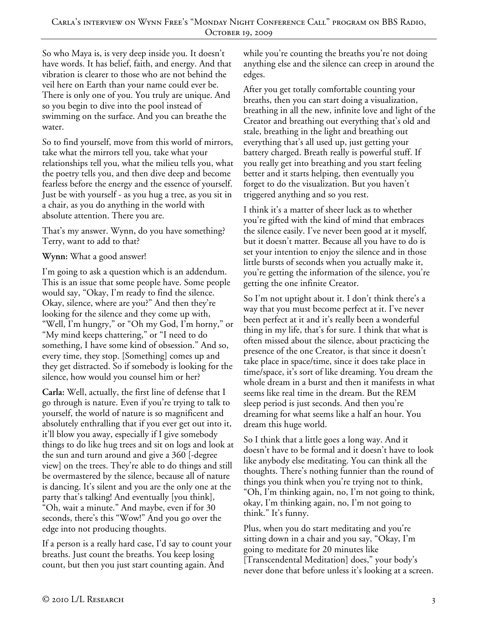So who Maya is, is very deep inside you. It doesn't have words. It has belief, faith, and energy. And that vibration is clearer to those who are not behind the veil here on Earth than your name could ever be. There is only one of you. You truly are unique. And so you begin to dive into the pool instead of swimming on the surface. And you can breathe the water.

So to find yourself, move from this world of mirrors, take what the mirrors tell you, take what your relationships tell you, what the milieu tells you, what the poetry tells you, and then dive deep and become fearless before the energy and the essence of yourself. Just be with yourself - as you hug a tree, as you sit in a chair, as you do anything in the world with absolute attention. There you are.

That's my answer. Wynn, do you have something? Terry, want to add to that?

## **Wynn:** What a good answer!

I'm going to ask a question which is an addendum. This is an issue that some people have. Some people would say, "Okay, I'm ready to find the silence. Okay, silence, where are you?" And then they're looking for the silence and they come up with, "Well, I'm hungry," or "Oh my God, I'm horny," or "My mind keeps chattering," or "I need to do something, I have some kind of obsession." And so, every time, they stop. [Something] comes up and they get distracted. So if somebody is looking for the silence, how would you counsel him or her?

**Carla:** Well, actually, the first line of defense that I go through is nature. Even if you're trying to talk to yourself, the world of nature is so magnificent and absolutely enthralling that if you ever get out into it, it'll blow you away, especially if I give somebody things to do like hug trees and sit on logs and look at the sun and turn around and give a 360 [-degree view] on the trees. They're able to do things and still be overmastered by the silence, because all of nature is dancing. It's silent and you are the only one at the party that's talking! And eventually [you think], "Oh, wait a minute." And maybe, even if for 30 seconds, there's this "Wow!" And you go over the edge into not producing thoughts.

If a person is a really hard case, I'd say to count your breaths. Just count the breaths. You keep losing count, but then you just start counting again. And

while you're counting the breaths you're not doing anything else and the silence can creep in around the edges.

After you get totally comfortable counting your breaths, then you can start doing a visualization, breathing in all the new, infinite love and light of the Creator and breathing out everything that's old and stale, breathing in the light and breathing out everything that's all used up, just getting your battery charged. Breath really is powerful stuff. If you really get into breathing and you start feeling better and it starts helping, then eventually you forget to do the visualization. But you haven't triggered anything and so you rest.

I think it's a matter of sheer luck as to whether you're gifted with the kind of mind that embraces the silence easily. I've never been good at it myself, but it doesn't matter. Because all you have to do is set your intention to enjoy the silence and in those little bursts of seconds when you actually make it, you're getting the information of the silence, you're getting the one infinite Creator.

So I'm not uptight about it. I don't think there's a way that you must become perfect at it. I've never been perfect at it and it's really been a wonderful thing in my life, that's for sure. I think that what is often missed about the silence, about practicing the presence of the one Creator, is that since it doesn't take place in space/time, since it does take place in time/space, it's sort of like dreaming. You dream the whole dream in a burst and then it manifests in what seems like real time in the dream. But the REM sleep period is just seconds. And then you're dreaming for what seems like a half an hour. You dream this huge world.

So I think that a little goes a long way. And it doesn't have to be formal and it doesn't have to look like anybody else meditating. You can think all the thoughts. There's nothing funnier than the round of things you think when you're trying not to think, "Oh, I'm thinking again, no, I'm not going to think, okay, I'm thinking again, no, I'm not going to think." It's funny.

Plus, when you do start meditating and you're sitting down in a chair and you say, "Okay, I'm going to meditate for 20 minutes like [Transcendental Meditation] does," your body's never done that before unless it's looking at a screen.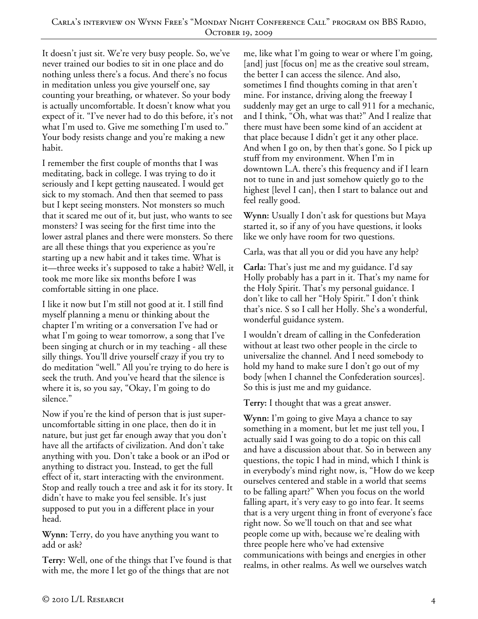It doesn't just sit. We're very busy people. So, we've never trained our bodies to sit in one place and do nothing unless there's a focus. And there's no focus in meditation unless you give yourself one, say counting your breathing, or whatever. So your body is actually uncomfortable. It doesn't know what you expect of it. "I've never had to do this before, it's not what I'm used to. Give me something I'm used to." Your body resists change and you're making a new habit.

I remember the first couple of months that I was meditating, back in college. I was trying to do it seriously and I kept getting nauseated. I would get sick to my stomach. And then that seemed to pass but I kept seeing monsters. Not monsters so much that it scared me out of it, but just, who wants to see monsters? I was seeing for the first time into the lower astral planes and there were monsters. So there are all these things that you experience as you're starting up a new habit and it takes time. What is it—three weeks it's supposed to take a habit? Well, it took me more like six months before I was comfortable sitting in one place.

I like it now but I'm still not good at it. I still find myself planning a menu or thinking about the chapter I'm writing or a conversation I've had or what I'm going to wear tomorrow, a song that I've been singing at church or in my teaching - all these silly things. You'll drive yourself crazy if you try to do meditation "well." All you're trying to do here is seek the truth. And you've heard that the silence is where it is, so you say, "Okay, I'm going to do silence."

Now if you're the kind of person that is just superuncomfortable sitting in one place, then do it in nature, but just get far enough away that you don't have all the artifacts of civilization. And don't take anything with you. Don't take a book or an iPod or anything to distract you. Instead, to get the full effect of it, start interacting with the environment. Stop and really touch a tree and ask it for its story. It didn't have to make you feel sensible. It's just supposed to put you in a different place in your head.

**Wynn:** Terry, do you have anything you want to add or ask?

**Terry:** Well, one of the things that I've found is that with me, the more I let go of the things that are not

me, like what I'm going to wear or where I'm going, [and] just [focus on] me as the creative soul stream, the better I can access the silence. And also, sometimes I find thoughts coming in that aren't mine. For instance, driving along the freeway I suddenly may get an urge to call 911 for a mechanic, and I think, "Oh, what was that?" And I realize that there must have been some kind of an accident at that place because I didn't get it any other place. And when I go on, by then that's gone. So I pick up stuff from my environment. When I'm in downtown L.A. there's this frequency and if I learn not to tune in and just somehow quietly go to the highest [level I can], then I start to balance out and feel really good.

**Wynn:** Usually I don't ask for questions but Maya started it, so if any of you have questions, it looks like we only have room for two questions.

Carla, was that all you or did you have any help?

**Carla:** That's just me and my guidance. I'd say Holly probably has a part in it. That's my name for the Holy Spirit. That's my personal guidance. I don't like to call her "Holy Spirit." I don't think that's nice. S so I call her Holly. She's a wonderful, wonderful guidance system.

I wouldn't dream of calling in the Confederation without at least two other people in the circle to universalize the channel. And I need somebody to hold my hand to make sure I don't go out of my body [when I channel the Confederation sources]. So this is just me and my guidance.

**Terry:** I thought that was a great answer.

**Wynn:** I'm going to give Maya a chance to say something in a moment, but let me just tell you, I actually said I was going to do a topic on this call and have a discussion about that. So in between any questions, the topic I had in mind, which I think is in everybody's mind right now, is, "How do we keep ourselves centered and stable in a world that seems to be falling apart?" When you focus on the world falling apart, it's very easy to go into fear. It seems that is a very urgent thing in front of everyone's face right now. So we'll touch on that and see what people come up with, because we're dealing with three people here who've had extensive communications with beings and energies in other realms, in other realms. As well we ourselves watch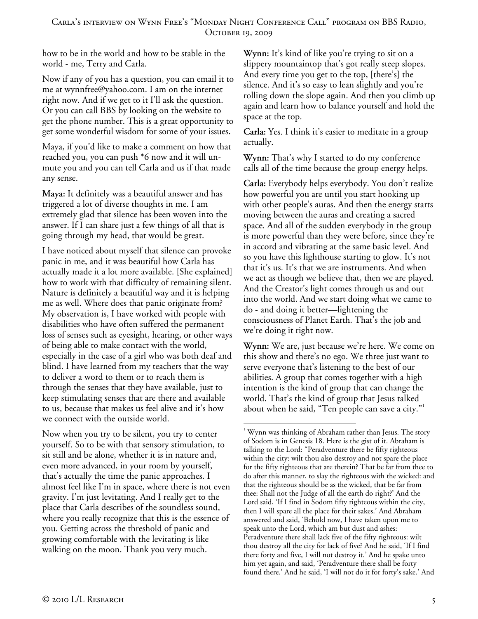how to be in the world and how to be stable in the world - me, Terry and Carla.

Now if any of you has a question, you can email it to me at wynnfree@yahoo.com. I am on the internet right now. And if we get to it I'll ask the question. Or you can call BBS by looking on the website to get the phone number. This is a great opportunity to get some wonderful wisdom for some of your issues.

Maya, if you'd like to make a comment on how that reached you, you can push \*6 now and it will unmute you and you can tell Carla and us if that made any sense.

**Maya:** It definitely was a beautiful answer and has triggered a lot of diverse thoughts in me. I am extremely glad that silence has been woven into the answer. If I can share just a few things of all that is going through my head, that would be great.

I have noticed about myself that silence can provoke panic in me, and it was beautiful how Carla has actually made it a lot more available. [She explained] how to work with that difficulty of remaining silent. Nature is definitely a beautiful way and it is helping me as well. Where does that panic originate from? My observation is, I have worked with people with disabilities who have often suffered the permanent loss of senses such as eyesight, hearing, or other ways of being able to make contact with the world, especially in the case of a girl who was both deaf and blind. I have learned from my teachers that the way to deliver a word to them or to reach them is through the senses that they have available, just to keep stimulating senses that are there and available to us, because that makes us feel alive and it's how we connect with the outside world.

Now when you try to be silent, you try to center yourself. So to be with that sensory stimulation, to sit still and be alone, whether it is in nature and, even more advanced, in your room by yourself, that's actually the time the panic approaches. I almost feel like I'm in space, where there is not even gravity. I'm just levitating. And I really get to the place that Carla describes of the soundless sound, where you really recognize that this is the essence of you. Getting across the threshold of panic and growing comfortable with the levitating is like walking on the moon. Thank you very much.

**Wynn:** It's kind of like you're trying to sit on a slippery mountaintop that's got really steep slopes. And every time you get to the top, [there's] the silence. And it's so easy to lean slightly and you're rolling down the slope again. And then you climb up again and learn how to balance yourself and hold the space at the top.

**Carla:** Yes. I think it's easier to meditate in a group actually.

**Wynn:** That's why I started to do my conference calls all of the time because the group energy helps.

**Carla:** Everybody helps everybody. You don't realize how powerful you are until you start hooking up with other people's auras. And then the energy starts moving between the auras and creating a sacred space. And all of the sudden everybody in the group is more powerful than they were before, since they're in accord and vibrating at the same basic level. And so you have this lighthouse starting to glow. It's not that it's us. It's that we are instruments. And when we act as though we believe that, then we are played. And the Creator's light comes through us and out into the world. And we start doing what we came to do - and doing it better—lightening the consciousness of Planet Earth. That's the job and we're doing it right now.

**Wynn:** We are, just because we're here. We come on this show and there's no ego. We three just want to serve everyone that's listening to the best of our abilities. A group that comes together with a high intention is the kind of group that can change the world. That's the kind of group that Jesus talked about when he said, "Ten people can save a city."<sup>1</sup>

 $\overline{a}$ <sup>1</sup> Wynn was thinking of Abraham rather than Jesus. The story of Sodom is in Genesis 18. Here is the gist of it. Abraham is talking to the Lord: "Peradventure there be fifty righteous within the city: wilt thou also destroy and not spare the place for the fifty righteous that are therein? That be far from thee to do after this manner, to slay the righteous with the wicked: and that the righteous should be as the wicked, that be far from thee: Shall not the Judge of all the earth do right?' And the Lord said, 'If I find in Sodom fifty righteous within the city, then I will spare all the place for their sakes.' And Abraham answered and said, 'Behold now, I have taken upon me to speak unto the Lord, which am but dust and ashes: Peradventure there shall lack five of the fifty righteous: wilt thou destroy all the city for lack of five? And he said, 'If I find there forty and five, I will not destroy it.' And he spake unto him yet again, and said, 'Peradventure there shall be forty found there.' And he said, 'I will not do it for forty's sake.' And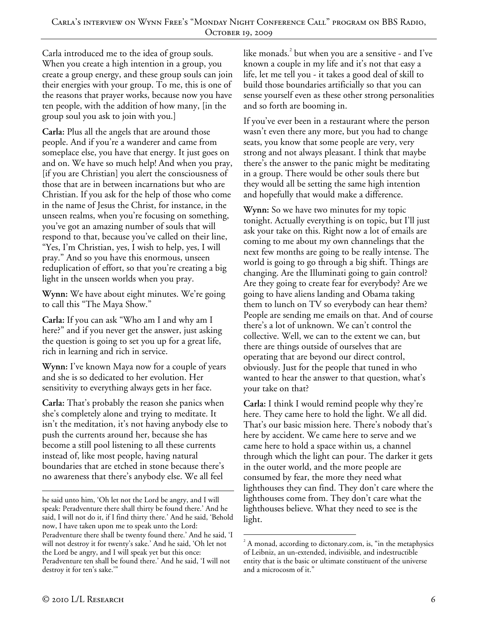Carla introduced me to the idea of group souls. When you create a high intention in a group, you create a group energy, and these group souls can join their energies with your group. To me, this is one of the reasons that prayer works, because now you have ten people, with the addition of how many, [in the group soul you ask to join with you.]

**Carla:** Plus all the angels that are around those people. And if you're a wanderer and came from someplace else, you have that energy. It just goes on and on. We have so much help! And when you pray, [if you are Christian] you alert the consciousness of those that are in between incarnations but who are Christian. If you ask for the help of those who come in the name of Jesus the Christ, for instance, in the unseen realms, when you're focusing on something, you've got an amazing number of souls that will respond to that, because you've called on their line, "Yes, I'm Christian, yes, I wish to help, yes, I will pray." And so you have this enormous, unseen reduplication of effort, so that you're creating a big light in the unseen worlds when you pray.

**Wynn:** We have about eight minutes. We're going to call this "The Maya Show."

**Carla:** If you can ask "Who am I and why am I here?" and if you never get the answer, just asking the question is going to set you up for a great life, rich in learning and rich in service.

**Wynn:** I've known Maya now for a couple of years and she is so dedicated to her evolution. Her sensitivity to everything always gets in her face.

**Carla:** That's probably the reason she panics when she's completely alone and trying to meditate. It isn't the meditation, it's not having anybody else to push the currents around her, because she has become a still pool listening to all these currents instead of, like most people, having natural boundaries that are etched in stone because there's no awareness that there's anybody else. We all feel

like monads. $3$  but when you are a sensitive - and I've known a couple in my life and it's not that easy a life, let me tell you - it takes a good deal of skill to build those boundaries artificially so that you can sense yourself even as these other strong personalities and so forth are booming in.

If you've ever been in a restaurant where the person wasn't even there any more, but you had to change seats, you know that some people are very, very strong and not always pleasant. I think that maybe there's the answer to the panic might be meditating in a group. There would be other souls there but they would all be setting the same high intention and hopefully that would make a difference.

**Wynn:** So we have two minutes for my topic tonight. Actually everything is on topic, but I'll just ask your take on this. Right now a lot of emails are coming to me about my own channelings that the next few months are going to be really intense. The world is going to go through a big shift. Things are changing. Are the Illuminati going to gain control? Are they going to create fear for everybody? Are we going to have aliens landing and Obama taking them to lunch on TV so everybody can hear them? People are sending me emails on that. And of course there's a lot of unknown. We can't control the collective. Well, we can to the extent we can, but there are things outside of ourselves that are operating that are beyond our direct control, obviously. Just for the people that tuned in who wanted to hear the answer to that question, what's your take on that?

**Carla:** I think I would remind people why they're here. They came here to hold the light. We all did. That's our basic mission here. There's nobody that's here by accident. We came here to serve and we came here to hold a space within us, a channel through which the light can pour. The darker it gets in the outer world, and the more people are consumed by fear, the more they need what lighthouses they can find. They don't care where the lighthouses come from. They don't care what the lighthouses believe. What they need to see is the light.

 $\overline{a}$ he said unto him, 'Oh let not the Lord be angry, and I will speak: Peradventure there shall thirty be found there.' And he said, I will not do it, if I find thirty there.' And he said, 'Behold now, I have taken upon me to speak unto the Lord: Peradventure there shall be twenty found there.' And he said, 'I will not destroy it for twenty's sake.' And he said, 'Oh let not the Lord be angry, and I will speak yet but this once: Peradventure ten shall be found there.' And he said, 'I will not destroy it for ten's sake.'"

<sup>-</sup> $2^2$  A monad, according to dictonary.com, is, "in the metaphysics of Leibniz, an un-extended, indivisible, and indestructible entity that is the basic or ultimate constituent of the universe and a microcosm of it."